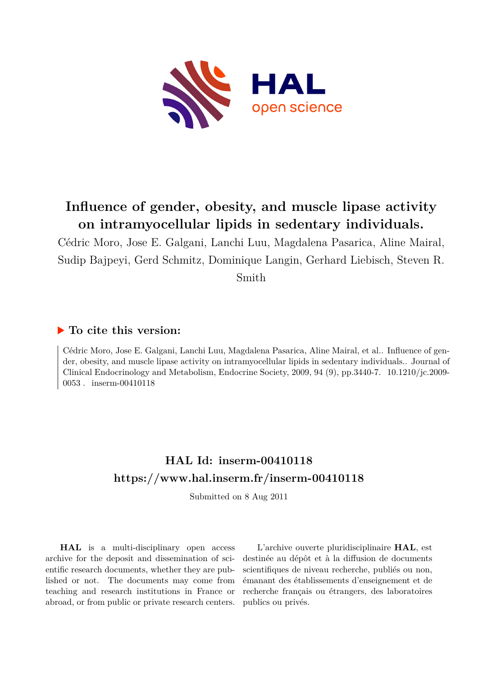

# **Influence of gender, obesity, and muscle lipase activity on intramyocellular lipids in sedentary individuals.**

Cédric Moro, Jose E. Galgani, Lanchi Luu, Magdalena Pasarica, Aline Mairal, Sudip Bajpeyi, Gerd Schmitz, Dominique Langin, Gerhard Liebisch, Steven R. Smith

# **To cite this version:**

Cédric Moro, Jose E. Galgani, Lanchi Luu, Magdalena Pasarica, Aline Mairal, et al.. Influence of gender, obesity, and muscle lipase activity on intramyocellular lipids in sedentary individuals.. Journal of Clinical Endocrinology and Metabolism, Endocrine Society, 2009, 94 (9), pp.3440-7. 10.1210/jc.2009- $0053$ . inserm-00410118

# **HAL Id: inserm-00410118 <https://www.hal.inserm.fr/inserm-00410118>**

Submitted on 8 Aug 2011

**HAL** is a multi-disciplinary open access archive for the deposit and dissemination of scientific research documents, whether they are published or not. The documents may come from teaching and research institutions in France or abroad, or from public or private research centers.

L'archive ouverte pluridisciplinaire **HAL**, est destinée au dépôt et à la diffusion de documents scientifiques de niveau recherche, publiés ou non, émanant des établissements d'enseignement et de recherche français ou étrangers, des laboratoires publics ou privés.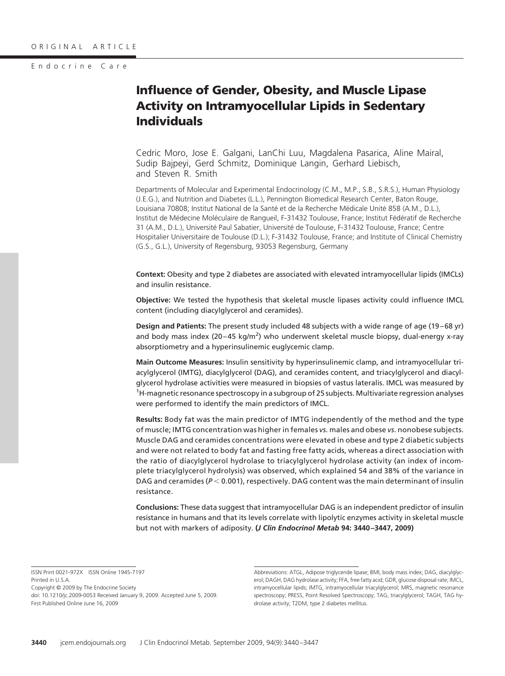Endocrine Care

# **Influence of Gender, Obesity, and Muscle Lipase Activity on Intramyocellular Lipids in Sedentary Individuals**

Cedric Moro, Jose E. Galgani, LanChi Luu, Magdalena Pasarica, Aline Mairal, Sudip Bajpeyi, Gerd Schmitz, Dominique Langin, Gerhard Liebisch, and Steven R. Smith

Departments of Molecular and Experimental Endocrinology (C.M., M.P., S.B., S.R.S.), Human Physiology (J.E.G.), and Nutrition and Diabetes (L.L.), Pennington Biomedical Research Center, Baton Rouge, Louisiana 70808; Institut National de la Santé et de la Recherche Médicale Unité 858 (A.M., D.L.), Institut de Médecine Moléculaire de Rangueil, F-31432 Toulouse, France; Institut Fédératif de Recherche 31 (A.M., D.L.), Université Paul Sabatier, Université de Toulouse, F-31432 Toulouse, France; Centre Hospitalier Universitaire de Toulouse (D.L.); F-31432 Toulouse, France; and Institute of Clinical Chemistry (G.S., G.L.), University of Regensburg, 93053 Regensburg, Germany

**Context:** Obesity and type 2 diabetes are associated with elevated intramyocellular lipids (IMCLs) and insulin resistance.

**Objective:** We tested the hypothesis that skeletal muscle lipases activity could influence IMCL content (including diacylglycerol and ceramides).

**Design and Patients:** The present study included 48 subjects with a wide range of age (19 – 68 yr) and body mass index (20-45 kg/m<sup>2</sup>) who underwent skeletal muscle biopsy, dual-energy x-ray absorptiometry and a hyperinsulinemic euglycemic clamp.

**Main Outcome Measures:** Insulin sensitivity by hyperinsulinemic clamp, and intramyocellular triacylglycerol (IMTG), diacylglycerol (DAG), and ceramides content, and triacylglycerol and diacylglycerol hydrolase activities were measured in biopsies of vastus lateralis. IMCL was measured by <sup>1</sup>H-magnetic resonance spectroscopy in a subgroup of 25 subjects. Multivariate regression analyses were performed to identify the main predictors of IMCL.

**Results:** Body fat was the main predictor of IMTG independently of the method and the type of muscle; IMTG concentration was higher in females *vs.* males and obese *vs.* nonobese subjects. Muscle DAG and ceramides concentrations were elevated in obese and type 2 diabetic subjects and were not related to body fat and fasting free fatty acids, whereas a direct association with the ratio of diacylglycerol hydrolase to triacylglycerol hydrolase activity (an index of incomplete triacylglycerol hydrolysis) was observed, which explained 54 and 38% of the variance in DAG and ceramides ( $P < 0.001$ ), respectively. DAG content was the main determinant of insulin resistance.

**Conclusions:** These data suggest that intramyocellular DAG is an independent predictor of insulin resistance in humans and that its levels correlate with lipolytic enzymes activity in skeletal muscle but not with markers of adiposity. **(***J Clin Endocrinol Metab* **94: 3440 –3447, 2009)**

ISSN Print 0021-972X ISSN Online 1945-7197 Printed in U.S.A.

Copyright © 2009 by The Endocrine Society

doi: 10.1210/jc.2009-0053 Received January 9, 2009. Accepted June 5, 2009. First Published Online June 16, 2009

Abbreviations: ATGL, Adipose triglyceride lipase; BMI, body mass index; DAG, diacylglycerol; DAGH, DAG hydrolase activity; FFA, free fatty acid; GDR, glucose disposal rate; IMCL, intramyocellular lipids; IMTG, intramyocellular triacylglycerol; MRS, magnetic resonance spectroscopy; PRESS, Point Resolved Spectroscopy; TAG, triacylglycerol; TAGH, TAG hydrolase activity; T2DM, type 2 diabetes mellitus.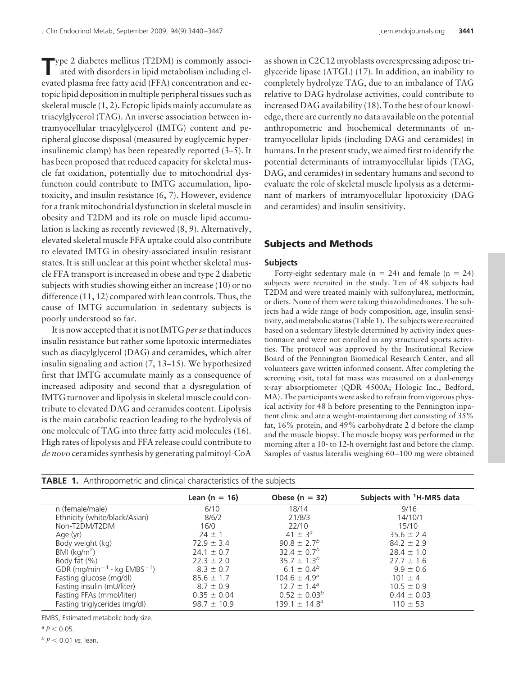**T**ype 2 diabetes mellitus (T2DM) is commonly associated with disorders in lipid metabolism including elevated plasma free fatty acid (FFA) concentration and ectopic lipid deposition in multiple peripheral tissues such as skeletal muscle (1, 2). Ectopic lipids mainly accumulate as triacylglycerol (TAG). An inverse association between intramyocellular triacylglycerol (IMTG) content and peripheral glucose disposal (measured by euglycemic hyperinsulinemic clamp) has been repeatedly reported (3–5). It has been proposed that reduced capacity for skeletal muscle fat oxidation, potentially due to mitochondrial dysfunction could contribute to IMTG accumulation, lipotoxicity, and insulin resistance (6, 7). However, evidence for a frank mitochondrial dysfunction in skeletal muscle in obesity and T2DM and its role on muscle lipid accumulation is lacking as recently reviewed (8, 9). Alternatively, elevated skeletal muscle FFA uptake could also contribute to elevated IMTG in obesity-associated insulin resistant states. It is still unclear at this point whether skeletal muscle FFA transport is increased in obese and type 2 diabetic subjects with studies showing either an increase (10) or no difference (11, 12) compared with lean controls. Thus, the cause of IMTG accumulation in sedentary subjects is poorly understood so far.

It is now accepted that it is not IMTG*per se* that induces insulin resistance but rather some lipotoxic intermediates such as diacylglycerol (DAG) and ceramides, which alter insulin signaling and action (7, 13–15). We hypothesized first that IMTG accumulate mainly as a consequence of increased adiposity and second that a dysregulation of IMTG turnover and lipolysis in skeletal muscle could contribute to elevated DAG and ceramides content. Lipolysis is the main catabolic reaction leading to the hydrolysis of one molecule of TAG into three fatty acid molecules (16). High rates of lipolysis and FFA release could contribute to *de novo* ceramides synthesis by generating palmitoyl-CoA

as shown in C2C12 myoblasts overexpressing adipose triglyceride lipase (ATGL) (17). In addition, an inability to completely hydrolyze TAG, due to an imbalance of TAG relative to DAG hydrolase activities, could contribute to increased DAG availability (18). To the best of our knowledge, there are currently no data available on the potential anthropometric and biochemical determinants of intramyocellular lipids (including DAG and ceramides) in humans. In the present study, we aimed first to identify the potential determinants of intramyocellular lipids (TAG, DAG, and ceramides) in sedentary humans and second to evaluate the role of skeletal muscle lipolysis as a determinant of markers of intramyocellular lipotoxicity (DAG and ceramides) and insulin sensitivity.

## **Subjects and Methods**

#### **Subjects**

Forty-eight sedentary male ( $n = 24$ ) and female ( $n = 24$ ) subjects were recruited in the study. Ten of 48 subjects had T2DM and were treated mainly with sulfonylurea, metformin, or diets. None of them were taking thiazolidinediones. The subjects had a wide range of body composition, age, insulin sensitivity, and metabolic status (Table 1). The subjects were recruited based on a sedentary lifestyle determined by activity index questionnaire and were not enrolled in any structured sports activities. The protocol was approved by the Institutional Review Board of the Pennington Biomedical Research Center, and all volunteers gave written informed consent. After completing the screening visit, total fat mass was measured on a dual-energy x-ray absorptiometer (QDR 4500A; Hologic Inc., Bedford, MA). The participants were asked to refrain from vigorous physical activity for 48 h before presenting to the Pennington inpatient clinic and ate a weight-maintaining diet consisting of 35% fat, 16% protein, and 49% carbohydrate 2 d before the clamp and the muscle biopsy. The muscle biopsy was performed in the morning after a 10- to 12-h overnight fast and before the clamp. Samples of vastus lateralis weighing 60 –100 mg were obtained

|                                        | Lean ( $n = 16$ ) | Obese ( $n = 32$ )            | Subjects with <sup>1</sup> H-MRS data |
|----------------------------------------|-------------------|-------------------------------|---------------------------------------|
| n (female/male)                        | 6/10              | 18/14                         | 9/16                                  |
| Ethnicity (white/black/Asian)          | 8/6/2             | 21/8/3                        | 14/10/1                               |
| Non-T2DM/T2DM                          | 16/0              | 22/10                         | 15/10                                 |
| Age (yr)                               | $24 \pm 1$        | 41 $\pm$ 3 <sup>a</sup>       | $35.6 \pm 2.4$                        |
| Body weight (kg)                       | $72.9 \pm 3.4$    | $90.8 \pm 2.7^{b}$            | $84.2 \pm 2.9$                        |
| BMI (kg/m <sup>2</sup> )               | $24.1 \pm 0.7$    | 32.4 $\pm$ 0.7 <sup>b</sup>   | $28.4 \pm 1.0$                        |
| Body fat $(\%)$                        | $22.3 \pm 2.0$    | $35.7 \pm 1.3^{b}$            | $27.7 \pm 1.6$                        |
| GDR $(mg/min^{-1} \cdot kg EMBS^{-1})$ | $8.3 \pm 0.7$     | 6.1 $\pm$ 0.4 <sup>b</sup>    | $9.9 \pm 0.6$                         |
| Fasting glucose (mg/dl)                | $85.6 \pm 1.7$    | $104.6 \pm 4.9^{\circ}$       | $101 \pm 4$                           |
| Fasting insulin (mU/liter)             | $8.7 \pm 0.9$     | $12.7 \pm 1.4^{\circ}$        | $10.5 \pm 0.9$                        |
| Fasting FFAs (mmol/liter)              | $0.35 \pm 0.04$   | $0.52 \pm 0.03^{b}$           | $0.44 \pm 0.03$                       |
| Fasting triglycerides (mg/dl)          | $98.7 \pm 10.9$   | 139.1 $\pm$ 14.8 <sup>a</sup> | $110 \pm 53$                          |

**TABLE 1.** Anthropometric and clinical characteristics of the subjects

EMBS, Estimated metabolic body size.

 $^{a} P < 0.05$ .

 $b$   $P$  < 0.01 *vs.* lean.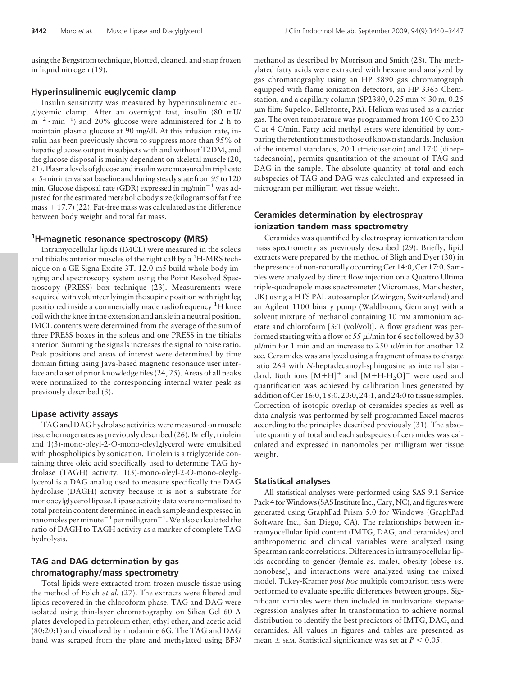using the Bergstrom technique, blotted, cleaned, and snap frozen in liquid nitrogen (19).

#### **Hyperinsulinemic euglycemic clamp**

Insulin sensitivity was measured by hyperinsulinemic euglycemic clamp. After an overnight fast, insulin (80 mU/  $m^{-2} \cdot min^{-1}$ ) and 20% glucose were administered for 2 h to maintain plasma glucose at 90 mg/dl. At this infusion rate, insulin has been previously shown to suppress more than 95% of hepatic glucose output in subjects with and without T2DM, and the glucose disposal is mainly dependent on skeletal muscle (20, 21). Plasmalevels of glucose andinsulin weremeasuredin triplicate at 5-minintervals at baseline and during steady state from 95 to 120 min. Glucose disposal rate (GDR) expressed in mg/min<sup>-1</sup> was adjusted for the estimated metabolic body size (kilograms of fat free mass  $+17.7$  (22). Fat-free mass was calculated as the difference between body weight and total fat mass.

### **1 H-magnetic resonance spectroscopy (MRS)**

Intramyocellular lipids (IMCL) were measured in the soleus and tibialis anterior muscles of the right calf by a <sup>1</sup>H-MRS technique on a GE Signa Excite 3T. 12.0-m5 build whole-body imaging and spectroscopy system using the Point Resolved Spectroscopy (PRESS) box technique (23). Measurements were acquired with volunteer lying in the supine position with right leg positioned inside a commercially made radiofrequency <sup>1</sup>H knee coil with the knee in the extension and ankle in a neutral position. IMCL contents were determined from the average of the sum of three PRESS boxes in the soleus and one PRESS in the tibialis anterior. Summing the signals increases the signal to noise ratio. Peak positions and areas of interest were determined by time domain fitting using Java-based magnetic resonance user interface and a set of prior knowledge files (24, 25). Areas of all peaks were normalized to the corresponding internal water peak as previously described (3).

#### **Lipase activity assays**

TAG and DAG hydrolase activities were measured on muscle tissue homogenates as previously described (26). Briefly, triolein and 1(3)-mono-oleyl-2-*O*-mono-oleylglycerol were emulsified with phospholipids by sonication. Triolein is a triglyceride containing three oleic acid specifically used to determine TAG hydrolase (TAGH) activity. 1(3)-mono-oleyl-2-*O*-mono-oleylglycerol is a DAG analog used to measure specifically the DAG hydrolase (DAGH) activity because it is not a substrate for monoacylglycerol lipase. Lipase activity data were normalized to total protein content determined in each sample and expressed in nanomoles per minute $^{-1}$  per milligram $^{-1}$ . We also calculated the ratio of DAGH to TAGH activity as a marker of complete TAG hydrolysis.

#### **TAG and DAG determination by gas chromatography/mass spectrometry**

Total lipids were extracted from frozen muscle tissue using the method of Folch *et al.* (27). The extracts were filtered and lipids recovered in the chloroform phase. TAG and DAG were isolated using thin-layer chromatography on Silica Gel 60 A plates developed in petroleum ether, ethyl ether, and acetic acid (80:20:1) and visualized by rhodamine 6G. The TAG and DAG band was scraped from the plate and methylated using BF3/

methanol as described by Morrison and Smith (28). The methylated fatty acids were extracted with hexane and analyzed by gas chromatography using an HP 5890 gas chromatograph equipped with flame ionization detectors, an HP 3365 Chemstation, and a capillary column (SP2380, 0.25 mm  $\times$  30 m, 0.25  $\mu$ m film; Supelco, Bellefonte, PA). Helium was used as a carrier gas. The oven temperature was programmed from 160 C to 230 C at 4 C/min. Fatty acid methyl esters were identified by comparing the retention times to those of known standards. Inclusion of the internal standards, 20:1 (trieicosenoin) and 17:0 (diheptadecanoin), permits quantitation of the amount of TAG and DAG in the sample. The absolute quantity of total and each subspecies of TAG and DAG was calculated and expressed in microgram per milligram wet tissue weight.

#### **Ceramides determination by electrospray ionization tandem mass spectrometry**

Ceramides was quantified by electrospray ionization tandem mass spectrometry as previously described (29). Briefly, lipid extracts were prepared by the method of Bligh and Dyer (30) in the presence of non-naturally occurring Cer 14:0, Cer 17:0. Samples were analyzed by direct flow injection on a Quattro Ultima triple-quadrupole mass spectrometer (Micromass, Manchester, UK) using a HTS PAL autosampler (Zwingen, Switzerland) and an Agilent 1100 binary pump (Waldbronn, Germany) with a solvent mixture of methanol containing 10 mM ammonium acetate and chloroform [3:1 (vol/vol)]. A flow gradient was performed starting with a flow of 55  $\mu$ l/min for 6 sec followed by 30  $\mu$ l/min for 1 min and an increase to 250  $\mu$ l/min for another 12 sec. Ceramides was analyzed using a fragment of mass to charge ratio 264 with *N*-heptadecanoyl-sphingosine as internal standard. Both ions  $[M+H]^+$  and  $[M+H-H<sub>2</sub>O]^+$  were used and quantification was achieved by calibration lines generated by addition of Cer 16:0, 18:0, 20:0, 24:1, and 24:0 to tissue samples. Correction of isotopic overlap of ceramides species as well as data analysis was performed by self-programmed Excel macros according to the principles described previously (31). The absolute quantity of total and each subspecies of ceramides was calculated and expressed in nanomoles per milligram wet tissue weight.

#### **Statistical analyses**

All statistical analyses were performed using SAS 9.1 Service Pack 4 for Windows (SAS Institute Inc., Cary, NC), and figures were generated using GraphPad Prism 5.0 for Windows (GraphPad Software Inc., San Diego, CA). The relationships between intramyocellular lipid content (IMTG, DAG, and ceramides) and anthropometric and clinical variables were analyzed using Spearman rank correlations. Differences in intramyocellular lipids according to gender (female *vs.* male), obesity (obese *vs.* nonobese), and interactions were analyzed using the mixed model. Tukey-Kramer *post hoc* multiple comparison tests were performed to evaluate specific differences between groups. Significant variables were then included in multivariate stepwise regression analyses after ln transformation to achieve normal distribution to identify the best predictors of IMTG, DAG, and ceramides. All values in figures and tables are presented as mean  $\pm$  sem. Statistical significance was set at  $P < 0.05$ .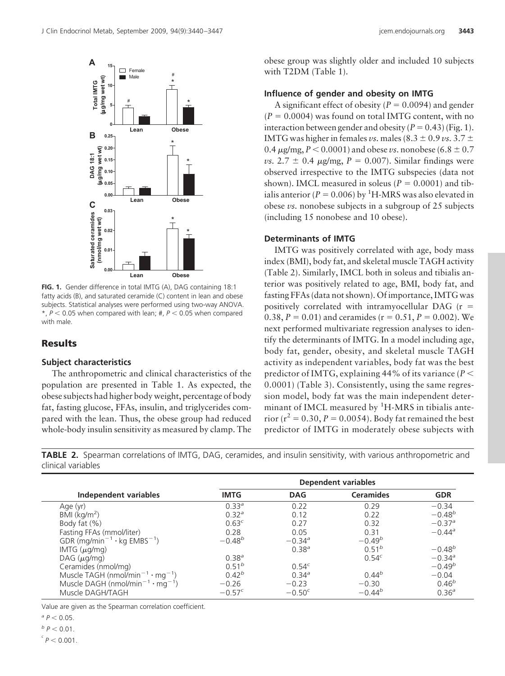Female Male

#

**Lean Obese 0.00**

**Lean Obese 0.00**

**FIG. 1.** Gender difference in total IMTG (A), DAG containing 18:1 fatty acids (B), and saturated ceramide (C) content in lean and obese subjects. Statistical analyses were performed using two-way ANOVA.  $*$ ,  $P < 0.05$  when compared with lean;  $#$ ,  $P < 0.05$  when compared

#

\*

\*

\*

\*

\*

**5**

**0.05 0.10 0.15 0.20 0.25**

**0.01**

**0.02**

**0.03**

**10**

**Total IMTG (**µ**g/mg wet wt)**

µg/mg wet wt) **Total IMTG** 

**B**

**DAG 18:1 (**µ**g/mg wet wt)**

(µg/mg wet wt) DAG 18:1

**C**

**Saturated ceramides (nmol/mg wet wt)**

Saturated ceramides (nmol/mg wet wt)

**A**

**15**





#### **Determinants of IMTG**

(including 15 nonobese and 10 obese).

IMTG was positively correlated with age, body mass index (BMI), body fat, and skeletal muscle TAGH activity (Table 2). Similarly, IMCL both in soleus and tibialis anterior was positively related to age, BMI, body fat, and fasting FFAs (data not shown). Of importance, IMTG was positively correlated with intramyocellular DAG ( $r =$ 0.38,  $P = 0.01$ ) and ceramides ( $r = 0.51$ ,  $P = 0.002$ ). We next performed multivariate regression analyses to identify the determinants of IMTG. In a model including age, body fat, gender, obesity, and skeletal muscle TAGH activity as independent variables, body fat was the best predictor of IMTG, explaining  $44\%$  of its variance ( $P \leq$ 0.0001) (Table 3). Consistently, using the same regression model, body fat was the main independent determinant of IMCL measured by <sup>1</sup>H-MRS in tibialis anterior ( $r^2 = 0.30, P = 0.0054$ ). Body fat remained the best predictor of IMTG in moderately obese subjects with

**TABLE 2.** Spearman correlations of IMTG, DAG, ceramides, and insulin sensitivity, with various anthropometric and clinical variables

|                                                                | Dependent variables |                   |                   |                      |  |
|----------------------------------------------------------------|---------------------|-------------------|-------------------|----------------------|--|
| Independent variables                                          | <b>IMTG</b>         | <b>DAG</b>        | <b>Ceramides</b>  | <b>GDR</b>           |  |
| Age (yr)                                                       | $0.33^{a}$          | 0.22              | 0.29              | $-0.34$              |  |
| BMI ( $kg/m2$ )                                                | $0.32^{\circ}$      | 0.12              | 0.22              | $-0.48^{b}$          |  |
| Body fat (%)                                                   | 0.63 <sup>c</sup>   | 0.27              | 0.32              | $-0.37$ <sup>a</sup> |  |
| Fasting FFAs (mmol/liter)                                      | 0.28                | 0.05              | 0.31              | $-0.44^{\circ}$      |  |
| GDR (mg/min <sup>-1</sup> $\cdot$ kg EMBS <sup>-1</sup> )      | $-0.48^{b}$         | $-0.34^{\circ}$   | $-0.49^{b}$       |                      |  |
| IMTG $(\mu g/mg)$                                              |                     | 0.38 <sup>a</sup> | $0.51^{b}$        | $-0.48^{b}$          |  |
| $DAG$ ( $\mu$ g/mg)                                            | $0.38^{a}$          |                   | 0.54 <sup>c</sup> | $-0.34^{\circ}$      |  |
| Ceramides (nmol/mg)                                            | $0.51^{b}$          | $0.54^{c}$        |                   | $-0.49^{b}$          |  |
| Muscle TAGH (nmol/min <sup>-1</sup> $\cdot$ mg <sup>-1</sup> ) | $0.42^{b}$          | $0.34^{a}$        | $0.44^{b}$        | $-0.04$              |  |
| Muscle DAGH (nmol/min <sup>-1</sup> $\cdot$ mg <sup>-1</sup> ) | $-0.26$             | $-0.23$           | $-0.30$           | $0.46^{b}$           |  |
| Muscle DAGH/TAGH                                               | $-0.57^{c}$         | $-0.50^{\circ}$   | $-0.44^{b}$       | 0.36 <sup>a</sup>    |  |

Value are given as the Spearman correlation coefficient.

 $^{a} P < 0.05$ .

**Results**

with male.

**Subject characteristics**

The anthropometric and clinical characteristics of the population are presented in Table 1. As expected, the obese subjects had higher body weight, percentage of body fat, fasting glucose, FFAs, insulin, and triglycerides compared with the lean. Thus, the obese group had reduced whole-body insulin sensitivity as measured by clamp. The

 $b$   $p$   $<$  0.01.

 $\sigma$ <sup>c</sup>  $P$  < 0.001.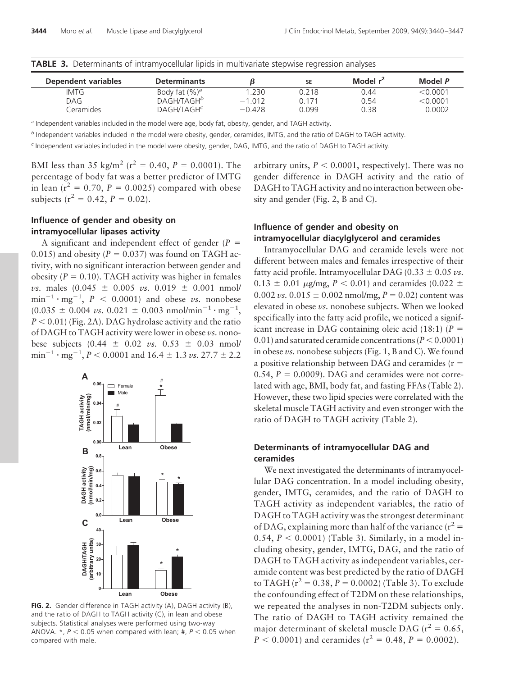| <b>IADLE 3.</b> Determinants of intramyocentrial lipids in multivariate stepwise regression analyses |                              |          |           |             |          |  |  |
|------------------------------------------------------------------------------------------------------|------------------------------|----------|-----------|-------------|----------|--|--|
| <b>Dependent variables</b>                                                                           | <b>Determinants</b>          |          | <b>SE</b> | Model $r^2$ | Model P  |  |  |
| IMTG                                                                                                 | Body fat $(\%)^a$            | 1.230    | 0.218     | 0.44        | < 0.0001 |  |  |
| DAG.                                                                                                 | DAGH/TAGH <sup>b</sup>       | $-1.012$ | 0.171     | 0.54        | < 0.0001 |  |  |
| Ceramides                                                                                            | <b>DAGH/TAGH<sup>c</sup></b> | $-0.428$ | በ በ99     | 0.38        | 0.0002   |  |  |

**TABLE 3.** Determinants of intramyocellular lipids in multivariate stepwise regression analyses

*<sup>a</sup>* Independent variables included in the model were age, body fat, obesity, gender, and TAGH activity.

*<sup>b</sup>* Independent variables included in the model were obesity, gender, ceramides, IMTG, and the ratio of DAGH to TAGH activity.

*<sup>c</sup>* Independent variables included in the model were obesity, gender, DAG, IMTG, and the ratio of DAGH to TAGH activity.

BMI less than 35 kg/m<sup>2</sup> ( $r^2 = 0.40$ ,  $P = 0.0001$ ). The percentage of body fat was a better predictor of IMTG in lean  $(r^2 = 0.70, P = 0.0025)$  compared with obese subjects ( $r^2 = 0.42$ ,  $P = 0.02$ ).

#### **Influence of gender and obesity on intramyocellular lipases activity**

A significant and independent effect of gender  $(P =$ 0.015) and obesity ( $P = 0.037$ ) was found on TAGH activity, with no significant interaction between gender and obesity  $(P = 0.10)$ . TAGH activity was higher in females *vs.* males  $(0.045 \pm 0.005 \text{ vs. } 0.019 \pm 0.001 \text{ nmol}$  $\text{min}^{-1} \cdot \text{mg}^{-1}$ ,  $P \, < \, 0.0001$ ) and obese *vs*. nonobese  $(0.035 \pm 0.004 \text{ vs. } 0.021 \pm 0.003 \text{ nmol/min}^{-1} \cdot \text{mg}^{-1})$  $P < 0.01$ ) (Fig. 2A). DAG hydrolase activity and the ratio of DAGH to TAGH activity were lower in obese *vs.* nonobese subjects  $(0.44 \pm 0.02 \text{ vs. } 0.53 \pm 0.03 \text{ nmol})$  $\text{min}^{-1} \cdot \text{mg}^{-1}$ ,  $P < 0.0001$  and  $16.4 \pm 1.3$  *vs.* 27.7  $\pm$  2.2



**FIG. 2.** Gender difference in TAGH activity (A), DAGH activity (B), and the ratio of DAGH to TAGH activity (C), in lean and obese subjects. Statistical analyses were performed using two-way ANOVA.  $*$ ,  $P < 0.05$  when compared with lean;  $#$ ,  $P < 0.05$  when compared with male.

arbitrary units,  $P < 0.0001$ , respectively). There was no gender difference in DAGH activity and the ratio of DAGH to TAGH activity and no interaction between obesity and gender (Fig. 2, B and C).

## **Influence of gender and obesity on intramyocellular diacylglycerol and ceramides**

Intramyocellular DAG and ceramide levels were not different between males and females irrespective of their fatty acid profile. Intramyocellular DAG ( $0.33 \pm 0.05 \nu s$ .  $0.13 \pm 0.01$   $\mu$ g/mg,  $P < 0.01$ ) and ceramides (0.022  $\pm$  $0.002 \text{ }\nu s$ .  $0.015 \pm 0.002 \text{ nmol/mg}$ ,  $P = 0.02$ ) content was elevated in obese *vs.* nonobese subjects. When we looked specifically into the fatty acid profile, we noticed a significant increase in DAG containing oleic acid  $(18:1)$   $(P =$ 0.01) and saturated ceramide concentrations ( $P < 0.0001$ ) in obese *vs.* nonobese subjects (Fig. 1, B and C). We found a positive relationship between DAG and ceramides (r  $\,$   $\,$  $(0.54, P = 0.0009)$ . DAG and ceramides were not correlated with age, BMI, body fat, and fasting FFAs (Table 2). However, these two lipid species were correlated with the skeletal muscle TAGH activity and even stronger with the ratio of DAGH to TAGH activity (Table 2).

## **Determinants of intramyocellular DAG and ceramides**

We next investigated the determinants of intramyocellular DAG concentration. In a model including obesity, gender, IMTG, ceramides, and the ratio of DAGH to TAGH activity as independent variables, the ratio of DAGH to TAGH activity was the strongest determinant of DAG, explaining more than half of the variance ( $r^2 =$ 0.54,  $P < 0.0001$  (Table 3). Similarly, in a model including obesity, gender, IMTG, DAG, and the ratio of DAGH to TAGH activity as independent variables, ceramide content was best predicted by the ratio of DAGH to TAGH ( $r^2 = 0.38, P = 0.0002$ ) (Table 3). To exclude the confounding effect of T2DM on these relationships, we repeated the analyses in non-T2DM subjects only. The ratio of DAGH to TAGH activity remained the major determinant of skeletal muscle DAG ( $r^2 = 0.65$ ,  $P < 0.0001$ ) and ceramides ( $r^2 = 0.48$ ,  $P = 0.0002$ ).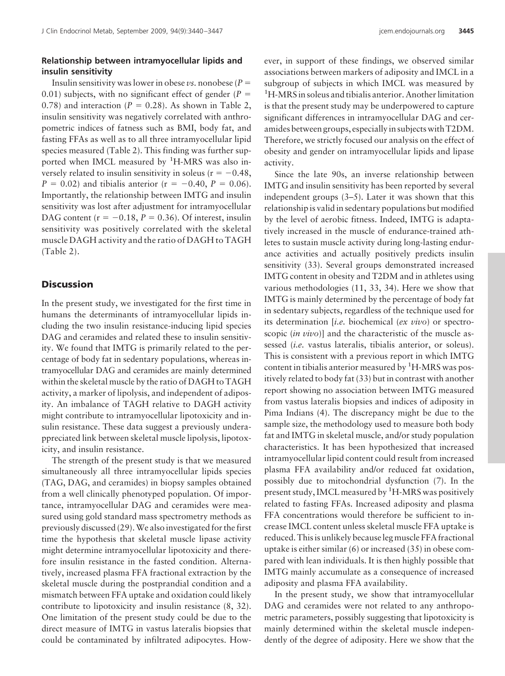#### **Relationship between intramyocellular lipids and insulin sensitivity**

Insulin sensitivity was lower in obese *vs*. nonobese ( $P =$ 0.01) subjects, with no significant effect of gender  $(P =$ 0.78) and interaction  $(P = 0.28)$ . As shown in Table 2, insulin sensitivity was negatively correlated with anthropometric indices of fatness such as BMI, body fat, and fasting FFAs as well as to all three intramyocellular lipid species measured (Table 2). This finding was further supported when IMCL measured by <sup>1</sup>H-MRS was also inversely related to insulin sensitivity in soleus ( $r = -0.48$ ,  $P = 0.02$ ) and tibialis anterior ( $r = -0.40, P = 0.06$ ). Importantly, the relationship between IMTG and insulin sensitivity was lost after adjustment for intramyocellular DAG content  $(r = -0.18, P = 0.36)$ . Of interest, insulin sensitivity was positively correlated with the skeletal muscle DAGH activity and the ratio of DAGH to TAGH (Table 2).

#### **Discussion**

In the present study, we investigated for the first time in humans the determinants of intramyocellular lipids including the two insulin resistance-inducing lipid species DAG and ceramides and related these to insulin sensitivity. We found that IMTG is primarily related to the percentage of body fat in sedentary populations, whereas intramyocellular DAG and ceramides are mainly determined within the skeletal muscle by the ratio of DAGH to TAGH activity, a marker of lipolysis, and independent of adiposity. An imbalance of TAGH relative to DAGH activity might contribute to intramyocellular lipotoxicity and insulin resistance. These data suggest a previously underappreciated link between skeletal muscle lipolysis, lipotoxicity, and insulin resistance.

The strength of the present study is that we measured simultaneously all three intramyocellular lipids species (TAG, DAG, and ceramides) in biopsy samples obtained from a well clinically phenotyped population. Of importance, intramyocellular DAG and ceramides were measured using gold standard mass spectrometry methods as previously discussed (29).We also investigated for the first time the hypothesis that skeletal muscle lipase activity might determine intramyocellular lipotoxicity and therefore insulin resistance in the fasted condition. Alternatively, increased plasma FFA fractional extraction by the skeletal muscle during the postprandial condition and a mismatch between FFA uptake and oxidation could likely contribute to lipotoxicity and insulin resistance (8, 32). One limitation of the present study could be due to the direct measure of IMTG in vastus lateralis biopsies that could be contaminated by infiltrated adipocytes. How-

ever, in support of these findings, we observed similar associations between markers of adiposity and IMCL in a subgroup of subjects in which IMCL was measured by <sup>1</sup>H-MRS in soleus and tibialis anterior. Another limitation is that the present study may be underpowered to capture significant differences in intramyocellular DAG and ceramides between groups, especiallyin subjects with T2DM. Therefore, we strictly focused our analysis on the effect of obesity and gender on intramyocellular lipids and lipase activity.

Since the late 90s, an inverse relationship between IMTG and insulin sensitivity has been reported by several independent groups (3–5). Later it was shown that this relationship is valid in sedentary populations but modified by the level of aerobic fitness. Indeed, IMTG is adaptatively increased in the muscle of endurance-trained athletes to sustain muscle activity during long-lasting endurance activities and actually positively predicts insulin sensitivity (33). Several groups demonstrated increased IMTG content in obesity and T2DM and in athletes using various methodologies (11, 33, 34). Here we show that IMTG is mainly determined by the percentage of body fat in sedentary subjects, regardless of the technique used for its determination [*i.e.* biochemical (*ex vivo*) or spectroscopic (*in vivo*)] and the characteristic of the muscle assessed (*i.e.* vastus lateralis, tibialis anterior, or soleus). This is consistent with a previous report in which IMTG content in tibialis anterior measured by  $\rm ^1H\text{-}MRS$  was positively related to body fat (33) but in contrast with another report showing no association between IMTG measured from vastus lateralis biopsies and indices of adiposity in Pima Indians (4). The discrepancy might be due to the sample size, the methodology used to measure both body fat and IMTG in skeletal muscle, and/or study population characteristics. It has been hypothesized that increased intramyocellular lipid content could result from increased plasma FFA availability and/or reduced fat oxidation, possibly due to mitochondrial dysfunction (7). In the present study, IMCL measured by <sup>1</sup>H-MRS was positively related to fasting FFAs. Increased adiposity and plasma FFA concentrations would therefore be sufficient to increase IMCL content unless skeletal muscle FFA uptake is reduced. This is unlikely because leg muscle FFA fractional uptake is either similar (6) or increased (35) in obese compared with lean individuals. It is then highly possible that IMTG mainly accumulate as a consequence of increased adiposity and plasma FFA availability.

In the present study, we show that intramyocellular DAG and ceramides were not related to any anthropometric parameters, possibly suggesting that lipotoxicity is mainly determined within the skeletal muscle independently of the degree of adiposity. Here we show that the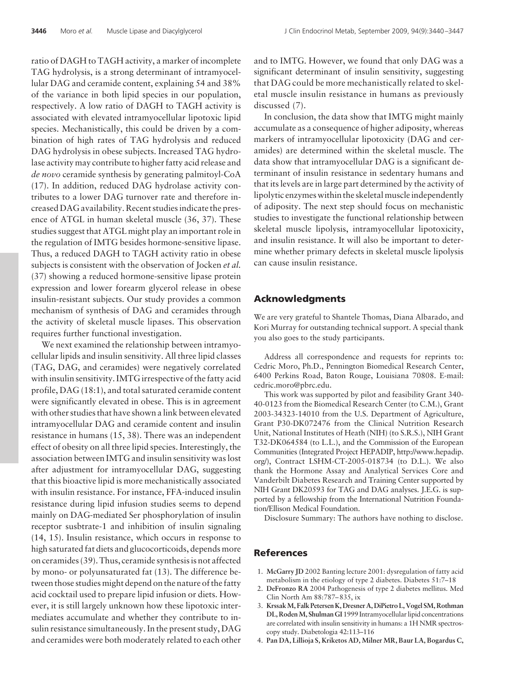ratio of DAGH to TAGH activity, a marker of incomplete TAG hydrolysis, is a strong determinant of intramyocellular DAG and ceramide content, explaining 54 and 38% of the variance in both lipid species in our population, respectively. A low ratio of DAGH to TAGH activity is associated with elevated intramyocellular lipotoxic lipid species. Mechanistically, this could be driven by a combination of high rates of TAG hydrolysis and reduced DAG hydrolysis in obese subjects. Increased TAG hydrolase activity may contribute to higher fatty acid release and *de novo* ceramide synthesis by generating palmitoyl-CoA (17). In addition, reduced DAG hydrolase activity contributes to a lower DAG turnover rate and therefore increased DAG availability. Recent studies indicate the presence of ATGL in human skeletal muscle (36, 37). These studies suggest that ATGL might play an important role in the regulation of IMTG besides hormone-sensitive lipase. Thus, a reduced DAGH to TAGH activity ratio in obese subjects is consistent with the observation of Jocken *et al.* (37) showing a reduced hormone-sensitive lipase protein expression and lower forearm glycerol release in obese insulin-resistant subjects. Our study provides a common mechanism of synthesis of DAG and ceramides through the activity of skeletal muscle lipases. This observation requires further functional investigation.

We next examined the relationship between intramyocellular lipids and insulin sensitivity. All three lipid classes (TAG, DAG, and ceramides) were negatively correlated with insulin sensitivity. IMTG irrespective of the fatty acid profile, DAG (18:1), and total saturated ceramide content were significantly elevated in obese. This is in agreement with other studies that have shown a link between elevated intramyocellular DAG and ceramide content and insulin resistance in humans (15, 38). There was an independent effect of obesity on all three lipid species. Interestingly, the association between IMTG and insulin sensitivity was lost after adjustment for intramyocellular DAG, suggesting that this bioactive lipid is more mechanistically associated with insulin resistance. For instance, FFA-induced insulin resistance during lipid infusion studies seems to depend mainly on DAG-mediated Ser phosphorylation of insulin receptor susbtrate-1 and inhibition of insulin signaling (14, 15). Insulin resistance, which occurs in response to high saturated fat diets and glucocorticoids, depends more on ceramides (39). Thus, ceramide synthesis is not affected by mono- or polyunsaturated fat (13). The difference between those studies might depend on the nature of the fatty acid cocktail used to prepare lipid infusion or diets. However, it is still largely unknown how these lipotoxic intermediates accumulate and whether they contribute to insulin resistance simultaneously. In the present study, DAG and ceramides were both moderately related to each other and to IMTG. However, we found that only DAG was a significant determinant of insulin sensitivity, suggesting that DAG could be more mechanistically related to skeletal muscle insulin resistance in humans as previously discussed (7).

In conclusion, the data show that IMTG might mainly accumulate as a consequence of higher adiposity, whereas markers of intramyocellular lipotoxicity (DAG and ceramides) are determined within the skeletal muscle. The data show that intramyocellular DAG is a significant determinant of insulin resistance in sedentary humans and that its levels are in large part determined by the activity of lipolytic enzymes within the skeletal muscle independently of adiposity. The next step should focus on mechanistic studies to investigate the functional relationship between skeletal muscle lipolysis, intramyocellular lipotoxicity, and insulin resistance. It will also be important to determine whether primary defects in skeletal muscle lipolysis can cause insulin resistance.

#### **Acknowledgments**

We are very grateful to Shantele Thomas, Diana Albarado, and Kori Murray for outstanding technical support. A special thank you also goes to the study participants.

Address all correspondence and requests for reprints to: Cedric Moro, Ph.D., Pennington Biomedical Research Center, 6400 Perkins Road, Baton Rouge, Louisiana 70808. E-mail: cedric.moro@pbrc.edu.

This work was supported by pilot and feasibility Grant 340- 40-0123 from the Biomedical Research Center (to C.M.), Grant 2003-34323-14010 from the U.S. Department of Agriculture, Grant P30-DK072476 from the Clinical Nutrition Research Unit, National Institutes of Heath (NIH) (to S.R.S.), NIH Grant T32-DK064584 (to L.L.), and the Commission of the European Communities (Integrated Project HEPADIP, http://www.hepadip. org/), Contract LSHM-CT-2005-018734 (to D.L.). We also thank the Hormone Assay and Analytical Services Core and Vanderbilt Diabetes Research and Training Center supported by NIH Grant DK20593 for TAG and DAG analyses. J.E.G. is supported by a fellowship from the International Nutrition Foundation/Ellison Medical Foundation.

Disclosure Summary: The authors have nothing to disclose.

#### **References**

- 1. **McGarry JD** 2002 Banting lecture 2001: dysregulation of fatty acid metabolism in the etiology of type 2 diabetes. Diabetes 51:7–18
- 2. **DeFronzo RA** 2004 Pathogenesis of type 2 diabetes mellitus. Med Clin North Am 88:787– 835, ix
- 3. **KrssakM, Falk Petersen K, Dresner A, DiPietro L, Vogel SM, Rothman DL, RodenM, Shulman GI** 1999 Intramyocellular lipid concentrations are correlated with insulin sensitivity in humans: a 1H NMR spectroscopy study. Diabetologia 42:113–116
- 4. **Pan DA, Lillioja S, Kriketos AD, Milner MR, Baur LA, Bogardus C,**